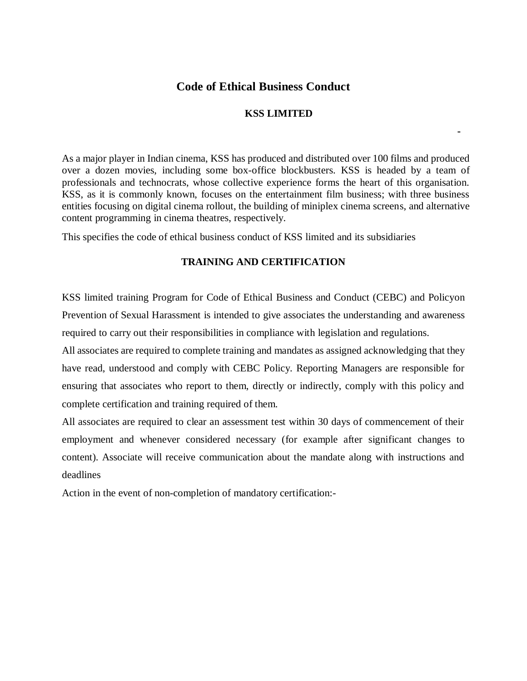# **Code of Ethical Business Conduct**

# **KSS LIMITED**

**-**

As a major player in Indian cinema, KSS has produced and distributed over 100 films and produced over a dozen movies, including some box-office blockbusters. KSS is headed by a team of professionals and technocrats, whose collective experience forms the heart of this organisation. KSS, as it is commonly known, focuses on the entertainment film business; with three business entities focusing on digital cinema rollout, the building of miniplex cinema screens, and alternative content programming in cinema theatres, respectively.

This specifies the code of ethical business conduct of KSS limited and its subsidiaries

#### **TRAINING AND CERTIFICATION**

KSS limited training Program for Code of Ethical Business and Conduct (CEBC) and Policyon Prevention of Sexual Harassment is intended to give associates the understanding and awareness required to carry out their responsibilities in compliance with legislation and regulations.

All associates are required to complete training and mandates as assigned acknowledging that they have read, understood and comply with CEBC Policy. Reporting Managers are responsible for ensuring that associates who report to them, directly or indirectly, comply with this policy and complete certification and training required of them.

All associates are required to clear an assessment test within 30 days of commencement of their employment and whenever considered necessary (for example after significant changes to content). Associate will receive communication about the mandate along with instructions and deadlines

Action in the event of non-completion of mandatory certification:-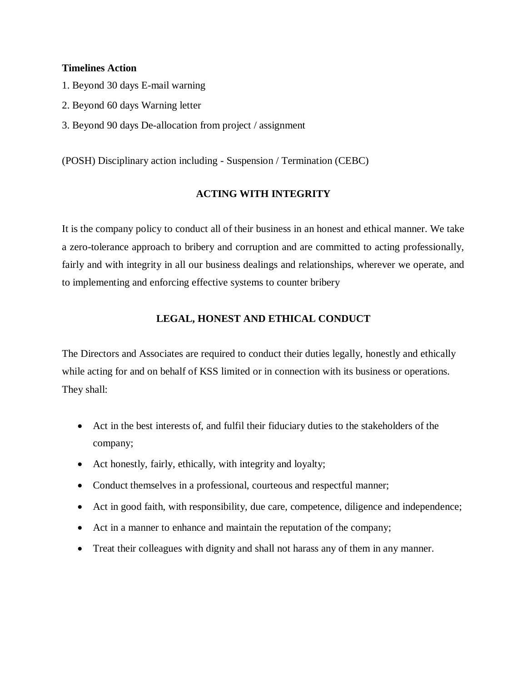#### **Timelines Action**

- 1. Beyond 30 days E-mail warning
- 2. Beyond 60 days Warning letter
- 3. Beyond 90 days De-allocation from project / assignment

(POSH) Disciplinary action including - Suspension / Termination (CEBC)

### **ACTING WITH INTEGRITY**

It is the company policy to conduct all of their business in an honest and ethical manner. We take a zero-tolerance approach to bribery and corruption and are committed to acting professionally, fairly and with integrity in all our business dealings and relationships, wherever we operate, and to implementing and enforcing effective systems to counter bribery

### **LEGAL, HONEST AND ETHICAL CONDUCT**

The Directors and Associates are required to conduct their duties legally, honestly and ethically while acting for and on behalf of KSS limited or in connection with its business or operations. They shall:

- Act in the best interests of, and fulfil their fiduciary duties to the stakeholders of the company;
- Act honestly, fairly, ethically, with integrity and loyalty;
- Conduct themselves in a professional, courteous and respectful manner;
- Act in good faith, with responsibility, due care, competence, diligence and independence;
- Act in a manner to enhance and maintain the reputation of the company;
- Treat their colleagues with dignity and shall not harass any of them in any manner.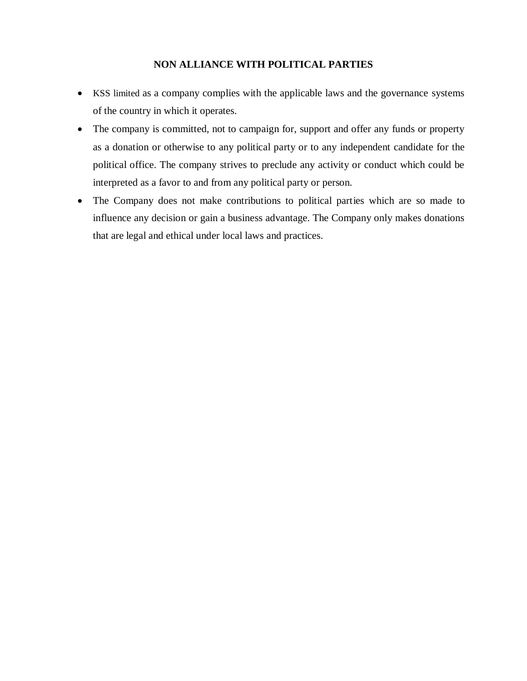# **NON ALLIANCE WITH POLITICAL PARTIES**

- KSS limited as a company complies with the applicable laws and the governance systems of the country in which it operates.
- The company is committed, not to campaign for, support and offer any funds or property as a donation or otherwise to any political party or to any independent candidate for the political office. The company strives to preclude any activity or conduct which could be interpreted as a favor to and from any political party or person.
- The Company does not make contributions to political parties which are so made to influence any decision or gain a business advantage. The Company only makes donations that are legal and ethical under local laws and practices.